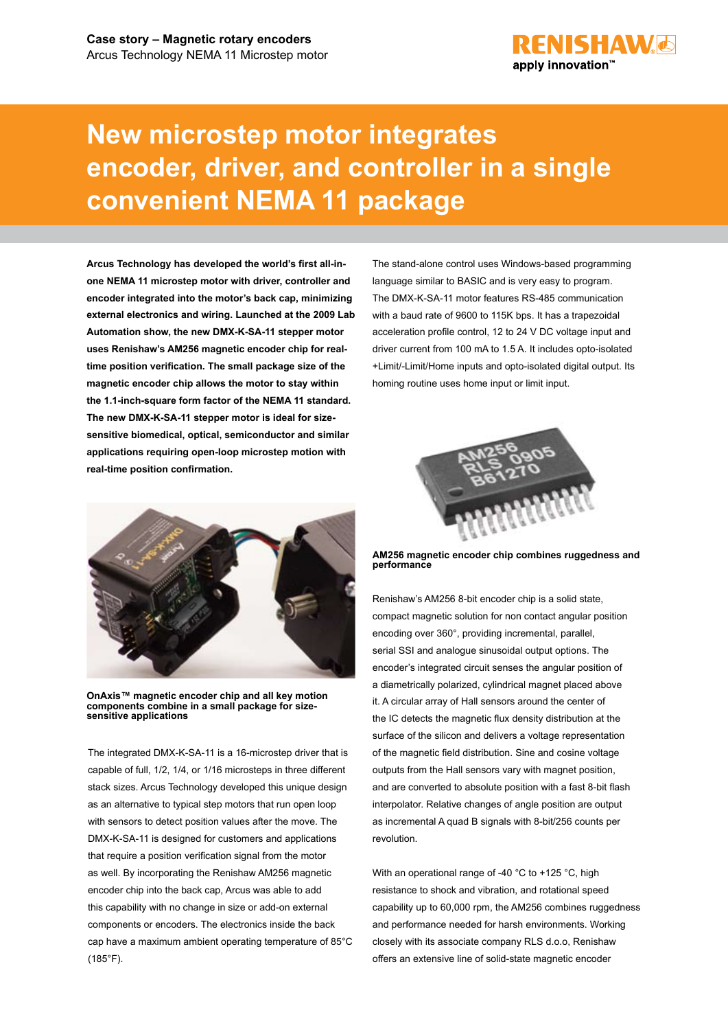

## **New microstep motor integrates encoder, driver, and controller in a single convenient NEMA 11 package**

**Arcus Technology has developed the world's first all-inone NEMA 11 microstep motor with driver, controller and encoder integrated into the motor's back cap, minimizing external electronics and wiring. Launched at the 2009 Lab Automation show, the new DMX-K-SA-11 stepper motor uses Renishaw's AM256 magnetic encoder chip for realtime position verification. The small package size of the magnetic encoder chip allows the motor to stay within the 1.1-inch-square form factor of the NEMA 11 standard. The new DMX-K-SA-11 stepper motor is ideal for sizesensitive biomedical, optical, semiconductor and similar applications requiring open-loop microstep motion with real-time position confirmation.**



**OnAxis™ magnetic encoder chip and all key motion components combine in a small package for sizesensitive applications**

The integrated DMX-K-SA-11 is a 16-microstep driver that is capable of full, 1/2, 1/4, or 1/16 microsteps in three different stack sizes. Arcus Technology developed this unique design as an alternative to typical step motors that run open loop with sensors to detect position values after the move. The DMX-K-SA-11 is designed for customers and applications that require a position verification signal from the motor as well. By incorporating the Renishaw AM256 magnetic encoder chip into the back cap, Arcus was able to add this capability with no change in size or add-on external components or encoders. The electronics inside the back cap have a maximum ambient operating temperature of 85°C (185°F).

The stand-alone control uses Windows-based programming language similar to BASIC and is very easy to program. The DMX-K-SA-11 motor features RS-485 communication with a baud rate of 9600 to 115K bps. It has a trapezoidal acceleration profile control, 12 to 24 V DC voltage input and driver current from 100 mA to 1.5 A. It includes opto-isolated +Limit/-Limit/Home inputs and opto-isolated digital output. Its homing routine uses home input or limit input.



**AM256 magnetic encoder chip combines ruggedness and performance**

Renishaw's AM256 8-bit encoder chip is a solid state, compact magnetic solution for non contact angular position encoding over 360°, providing incremental, parallel, serial SSI and analogue sinusoidal output options. The encoder's integrated circuit senses the angular position of a diametrically polarized, cylindrical magnet placed above it. A circular array of Hall sensors around the center of the IC detects the magnetic flux density distribution at the surface of the silicon and delivers a voltage representation of the magnetic field distribution. Sine and cosine voltage outputs from the Hall sensors vary with magnet position, and are converted to absolute position with a fast 8-bit flash interpolator. Relative changes of angle position are output as incremental A quad B signals with 8-bit/256 counts per revolution.

With an operational range of -40 °C to +125 °C, high resistance to shock and vibration, and rotational speed capability up to 60,000 rpm, the AM256 combines ruggedness and performance needed for harsh environments. Working closely with its associate company RLS d.o.o, Renishaw offers an extensive line of solid-state magnetic encoder